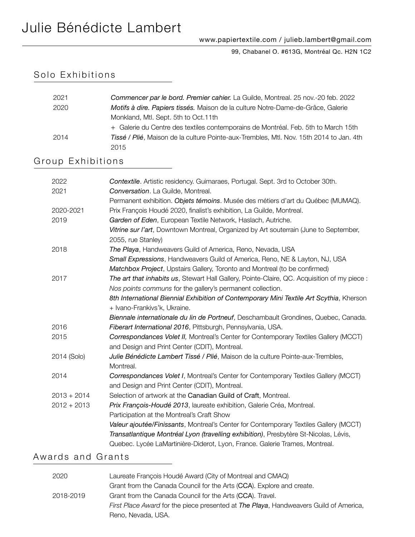99, Chabanel O. #613G, Montréal Qc. H2N 1C2

#### Solo Exhibitions

| 2021 | Commencer par le bord. Premier cahier. La Guilde, Montreal. 25 nov.-20 feb. 2022        |
|------|-----------------------------------------------------------------------------------------|
| 2020 | Motifs à dire. Papiers tissés. Maison de la culture Notre-Dame-de-Grâce, Galerie        |
|      | Monkland, Mtl. Sept. 5th to Oct. 11th                                                   |
|      | + Galerie du Centre des textiles contemporains de Montréal. Feb. 5th to March 15th      |
| 2014 | Tissé / Plié, Maison de la culture Pointe-aux-Trembles, Mtl. Nov. 15th 2014 to Jan. 4th |
|      | 2015                                                                                    |

#### Group Exhibitions

| 2022          | Contextile. Artistic residency. Guimaraes, Portugal. Sept. 3rd to October 30th.              |
|---------------|----------------------------------------------------------------------------------------------|
| 2021          | Conversation. La Guilde, Montreal.                                                           |
|               | Permanent exhibition. Objets témoins. Musée des métiers d'art du Québec (MUMAQ).             |
| 2020-2021     | Prix François Houdé 2020, finalist's exhibition, La Guilde, Montreal.                        |
| 2019          | Garden of Eden, European Textile Network, Haslach, Autriche.                                 |
|               | Vitrine sur l'art, Downtown Montreal, Organized by Art souterrain (June to September,        |
|               | 2055, rue Stanley)                                                                           |
| 2018          | The Playa, Handweavers Guild of America, Reno, Nevada, USA                                   |
|               | Small Expressions, Handweavers Guild of America, Reno, NE & Layton, NJ, USA                  |
|               | Matchbox Project, Upstairs Gallery, Toronto and Montreal (to be confirmed)                   |
| 2017          | The art that inhabits us, Stewart Hall Gallery, Pointe-Claire, QC. Acquisition of my piece : |
|               | Nos points communs for the gallery's permanent collection.                                   |
|               | 8th International Biennial Exhibition of Contemporary Mini Textile Art Scythia, Kherson      |
|               | + Ivano-Frankivs'k, Ukraine.                                                                 |
|               | Biennale internationale du lin de Portneuf, Deschambault Grondines, Quebec, Canada.          |
| 2016          | Fiberart International 2016, Pittsburgh, Pennsylvania, USA.                                  |
| 2015          | Correspondances Volet II, Montreal's Center for Contemporary Textiles Gallery (MCCT)         |
|               | and Design and Print Center (CDIT), Montreal.                                                |
| 2014 (Solo)   | Julie Bénédicte Lambert Tissé / Plié, Maison de la culture Pointe-aux-Trembles,              |
|               | Montreal.                                                                                    |
| 2014          | Correspondances Volet I, Montreal's Center for Contemporary Textiles Gallery (MCCT)          |
|               | and Design and Print Center (CDIT), Montreal.                                                |
| $2013 + 2014$ | Selection of artwork at the Canadian Guild of Craft, Montreal.                               |
| $2012 + 2013$ | Prix François-Houdé 2013, laureate exhibition, Galerie Créa, Montreal.                       |
|               | Participation at the Montreal's Craft Show                                                   |
|               | Valeur ajoutée/Finissants, Montreal's Center for Contemporary Textiles Gallery (MCCT)        |
|               | Transatlantique Montréal Lyon (travelling exhibition), Presbytère St-Nicolas, Lévis,         |
|               | Quebec. Lycée LaMartinière-Diderot, Lyon, France. Galerie Trames, Montreal.                  |
|               |                                                                                              |

#### Awards and Grants

| 2020      | Laureate François Houdé Award (City of Montreal and CMAQ)                             |
|-----------|---------------------------------------------------------------------------------------|
|           | Grant from the Canada Council for the Arts (CCA). Explore and create.                 |
| 2018-2019 | Grant from the Canada Council for the Arts (CCA). Travel.                             |
|           | First Place Award for the piece presented at The Playa, Handweavers Guild of America, |
|           | Reno, Nevada, USA,                                                                    |
|           |                                                                                       |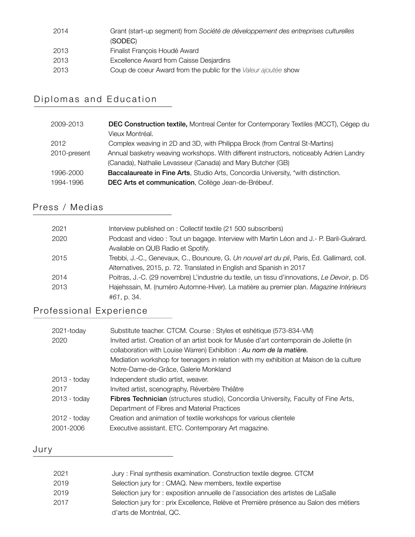| 2014 | Grant (start-up segment) from Société de développement des entreprises culturelles<br>(SODEC) |
|------|-----------------------------------------------------------------------------------------------|
| 2013 | Finalist François Houdé Award                                                                 |
| 2013 | Excellence Award from Caisse Desjardins                                                       |
| 2013 | Coup de coeur Award from the public for the Valeur ajoutée show                               |

## Diplomas and Education

| 2009-2013    | <b>DEC Construction textile, Montreal Center for Contemporary Textiles (MCCT), Cégep du</b> |
|--------------|---------------------------------------------------------------------------------------------|
|              | Vieux Montréal.                                                                             |
| 2012         | Complex weaving in 2D and 3D, with Philippa Brock (from Central St-Martins)                 |
| 2010-present | Annual basketry weaving workshops. With different instructors, noticeably Adrien Landry     |
|              | (Canada), Nathalie Levasseur (Canada) and Mary Butcher (GB)                                 |
| 1996-2000    | <b>Baccalaureate in Fine Arts, Studio Arts, Concordia University, *with distinction.</b>    |
| 1994-1996    | DEC Arts et communication, Collège Jean-de-Brébeuf.                                         |
|              |                                                                                             |

## Press / Medias

| 2021 | Interview published on : Collectif textile (21 500 subscribers)                               |
|------|-----------------------------------------------------------------------------------------------|
| 2020 | Podcast and video: Tout un bagage. Interview with Martin Léon and J.- P. Baril-Guérard.       |
|      | Available on QUB Radio et Spotify.                                                            |
| 2015 | Trebbi, J.-C., Genevaux, C., Bounoure, G. Un nouvel art du pli, Paris, Éd. Gallimard, coll.   |
|      | Alternatives, 2015, p. 72. Translated in English and Spanish in 2017                          |
| 2014 | Poitras, J.-C. (29 novembre) L'industrie du textile, un tissu d'innovations, Le Devoir, p. D5 |
| 2013 | Hajehssain, M. (numéro Automne-Hiver). La matière au premier plan. Magazine Intérieurs        |
|      | #61, p. 34.                                                                                   |

### Professional Experience

| 2021-today     | Substitute teacher. CTCM. Course: Styles et eshétique (573-834-VM)                      |
|----------------|-----------------------------------------------------------------------------------------|
| 2020           | Invited artist. Creation of an artist book for Musée d'art contemporain de Joliette (in |
|                | collaboration with Louise Warren) Exhibition : Au nom de la matière.                    |
|                | Mediation workshop for teenagers in relation with my exhibition at Maison de la culture |
|                | Notre-Dame-de-Grâce, Galerie Monkland                                                   |
| 2013 - today   | Independent studio artist, weaver.                                                      |
| 2017           | Invited artist, scenography, Réverbère Théâtre                                          |
| $2013 -$ today | Fibres Technician (structures studio), Concordia University, Faculty of Fine Arts,      |
|                | Department of Fibres and Material Practices                                             |
| 2012 - today   | Creation and animation of textile workshops for various clientele                       |
| 2001-2006      | Executive assistant. ETC. Contemporary Art magazine.                                    |

# Jury

| 2021 | Jury: Final synthesis examination. Construction textile degree. CTCM                   |
|------|----------------------------------------------------------------------------------------|
| 2019 | Selection jury for: CMAQ. New members, textile expertise                               |
| 2019 | Selection jury for: exposition annuelle de l'association des artistes de LaSalle       |
| 2017 | Selection jury for : prix Excellence, Relève et Première présence au Salon des métiers |
|      | d'arts de Montréal, QC.                                                                |